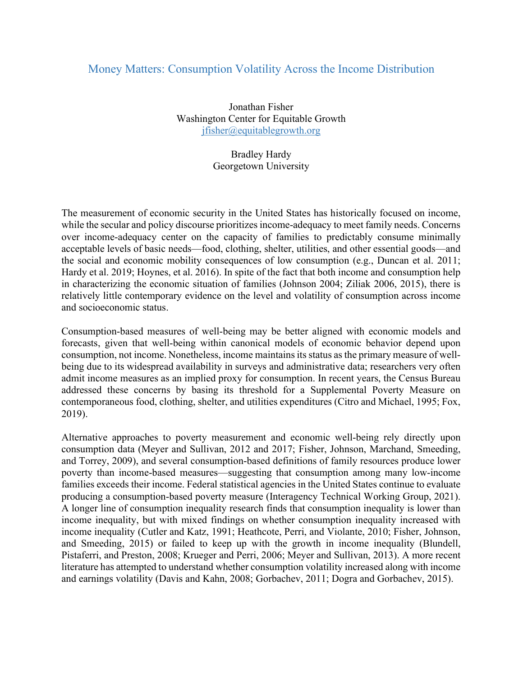## Money Matters: Consumption Volatility Across the Income Distribution

Jonathan Fisher Washington Center for Equitable Growth jfisher@equitablegrowth.org

> Bradley Hardy Georgetown University

The measurement of economic security in the United States has historically focused on income, while the secular and policy discourse prioritizes income-adequacy to meet family needs. Concerns over income-adequacy center on the capacity of families to predictably consume minimally acceptable levels of basic needs—food, clothing, shelter, utilities, and other essential goods—and the social and economic mobility consequences of low consumption (e.g., Duncan et al. 2011; Hardy et al. 2019; Hoynes, et al. 2016). In spite of the fact that both income and consumption help in characterizing the economic situation of families (Johnson 2004; Ziliak 2006, 2015), there is relatively little contemporary evidence on the level and volatility of consumption across income and socioeconomic status.

Consumption-based measures of well-being may be better aligned with economic models and forecasts, given that well-being within canonical models of economic behavior depend upon consumption, not income. Nonetheless, income maintains its status as the primary measure of wellbeing due to its widespread availability in surveys and administrative data; researchers very often admit income measures as an implied proxy for consumption. In recent years, the Census Bureau addressed these concerns by basing its threshold for a Supplemental Poverty Measure on contemporaneous food, clothing, shelter, and utilities expenditures (Citro and Michael, 1995; Fox, 2019).

Alternative approaches to poverty measurement and economic well-being rely directly upon consumption data (Meyer and Sullivan, 2012 and 2017; Fisher, Johnson, Marchand, Smeeding, and Torrey, 2009), and several consumption-based definitions of family resources produce lower poverty than income-based measures—suggesting that consumption among many low-income families exceeds their income. Federal statistical agencies in the United States continue to evaluate producing a consumption-based poverty measure (Interagency Technical Working Group, 2021). A longer line of consumption inequality research finds that consumption inequality is lower than income inequality, but with mixed findings on whether consumption inequality increased with income inequality (Cutler and Katz, 1991; Heathcote, Perri, and Violante, 2010; Fisher, Johnson, and Smeeding, 2015) or failed to keep up with the growth in income inequality (Blundell, Pistaferri, and Preston, 2008; Krueger and Perri, 2006; Meyer and Sullivan, 2013). A more recent literature has attempted to understand whether consumption volatility increased along with income and earnings volatility (Davis and Kahn, 2008; Gorbachev, 2011; Dogra and Gorbachev, 2015).